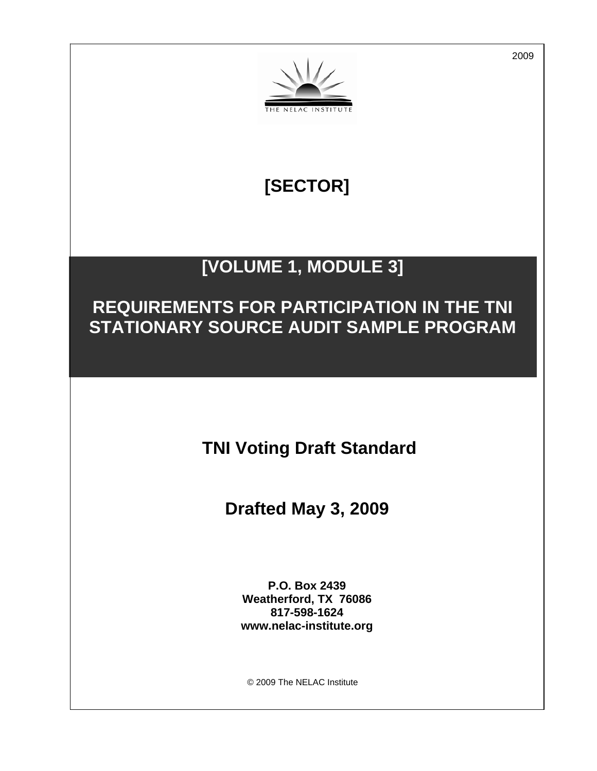

# **[SECTOR]**

## **[VOLUME 1, MODULE 3]**

## **REQUIREMENTS FOR PARTICIPATION IN THE TNI STATIONARY SOURCE AUDIT SAMPLE PROGRAM**

 **TNI Voting Draft Standard** 

**Drafted May 3, 2009** 

**P.O. Box 2439 Weatherford, TX 76086 817-598-1624 www.nelac-institute.org** 

© 2009 The NELAC Institute

2009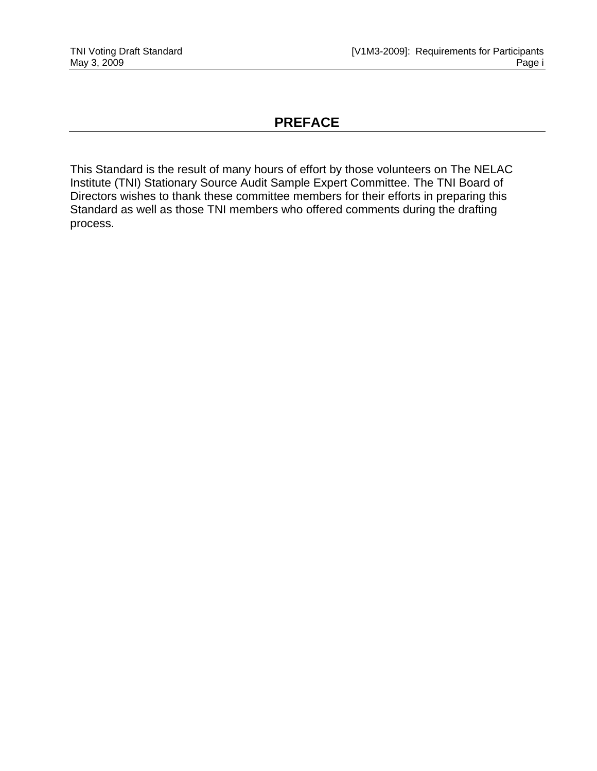### **PREFACE**

This Standard is the result of many hours of effort by those volunteers on The NELAC Institute (TNI) Stationary Source Audit Sample Expert Committee. The TNI Board of Directors wishes to thank these committee members for their efforts in preparing this Standard as well as those TNI members who offered comments during the drafting process.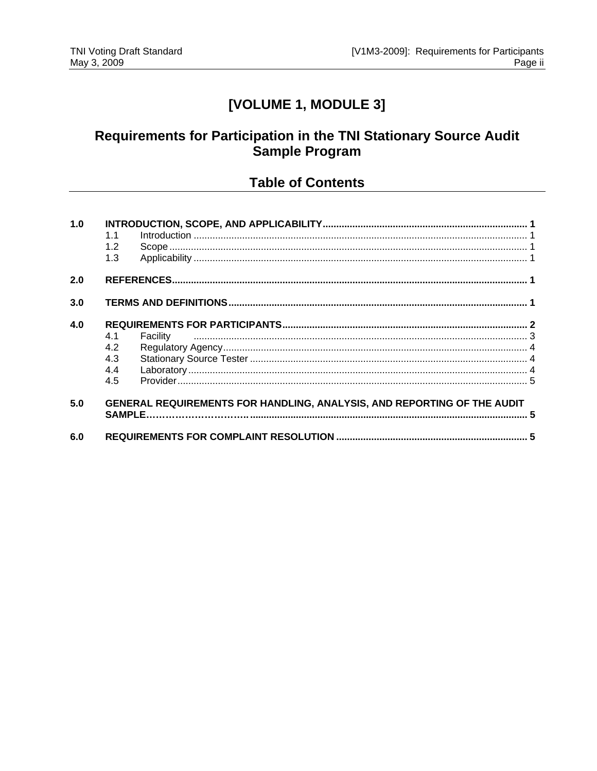## [VOLUME 1, MODULE 3]

## Requirements for Participation in the TNI Stationary Source Audit Sample Program

### **Table of Contents**

| 1.0 |                                                                                |          |  |
|-----|--------------------------------------------------------------------------------|----------|--|
|     |                                                                                |          |  |
|     | 1.2                                                                            |          |  |
|     | 1.3                                                                            |          |  |
| 2.0 |                                                                                |          |  |
| 3.0 |                                                                                |          |  |
| 4.0 |                                                                                |          |  |
|     | 4.1                                                                            | Facility |  |
|     | 4.2                                                                            |          |  |
|     | 4.3                                                                            |          |  |
|     | 4.4                                                                            |          |  |
|     | 4.5                                                                            |          |  |
| 5.0 | <b>GENERAL REQUIREMENTS FOR HANDLING, ANALYSIS, AND REPORTING OF THE AUDIT</b> |          |  |
| 6.0 |                                                                                |          |  |
|     |                                                                                |          |  |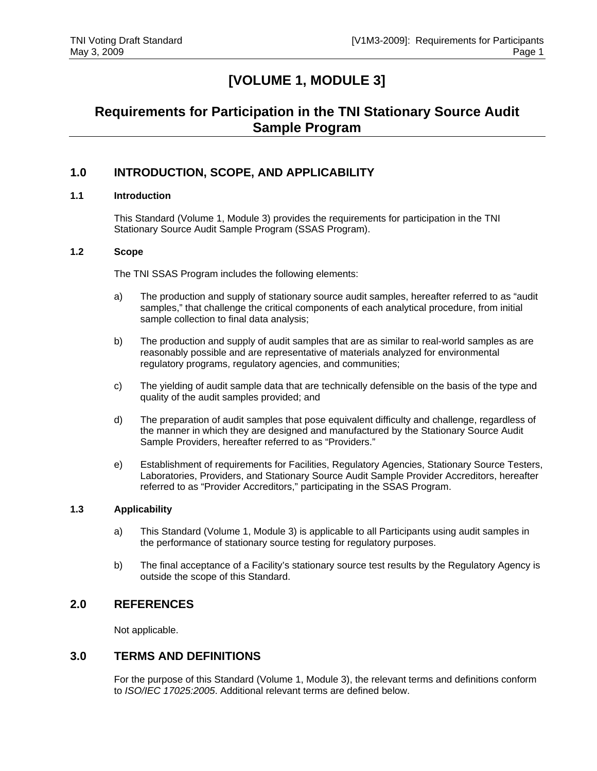## **[VOLUME 1, MODULE 3]**

## **Requirements for Participation in the TNI Stationary Source Audit Sample Program**

#### **1.0 INTRODUCTION, SCOPE, AND APPLICABILITY**

#### **1.1 Introduction**

This Standard (Volume 1, Module 3) provides the requirements for participation in the TNI Stationary Source Audit Sample Program (SSAS Program).

#### **1.2 Scope**

The TNI SSAS Program includes the following elements:

- a) The production and supply of stationary source audit samples, hereafter referred to as "audit samples," that challenge the critical components of each analytical procedure, from initial sample collection to final data analysis;
- b) The production and supply of audit samples that are as similar to real-world samples as are reasonably possible and are representative of materials analyzed for environmental regulatory programs, regulatory agencies, and communities;
- c) The yielding of audit sample data that are technically defensible on the basis of the type and quality of the audit samples provided; and
- d) The preparation of audit samples that pose equivalent difficulty and challenge, regardless of the manner in which they are designed and manufactured by the Stationary Source Audit Sample Providers, hereafter referred to as "Providers."
- e) Establishment of requirements for Facilities, Regulatory Agencies, Stationary Source Testers, Laboratories, Providers, and Stationary Source Audit Sample Provider Accreditors, hereafter referred to as "Provider Accreditors," participating in the SSAS Program.

#### **1.3 Applicability**

- a) This Standard (Volume 1, Module 3) is applicable to all Participants using audit samples in the performance of stationary source testing for regulatory purposes.
- b) The final acceptance of a Facility's stationary source test results by the Regulatory Agency is outside the scope of this Standard.

#### **2.0 REFERENCES**

Not applicable.

#### **3.0 TERMS AND DEFINITIONS**

For the purpose of this Standard (Volume 1, Module 3), the relevant terms and definitions conform to *ISO/IEC 17025:2005*. Additional relevant terms are defined below.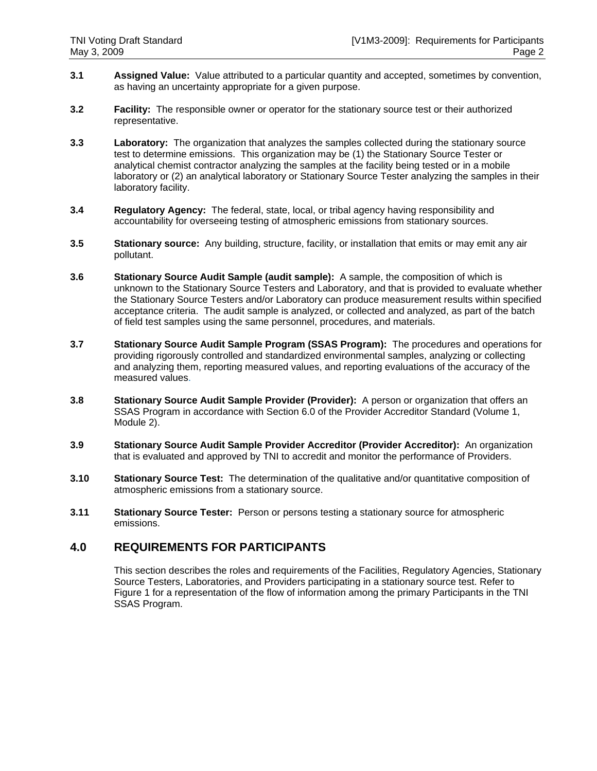- **3.1 Assigned Value:** Value attributed to a particular quantity and accepted, sometimes by convention, as having an uncertainty appropriate for a given purpose.
- **3.2 Facility:** The responsible owner or operator for the stationary source test or their authorized representative.
- **3.3 Laboratory:** The organization that analyzes the samples collected during the stationary source test to determine emissions. This organization may be (1) the Stationary Source Tester or analytical chemist contractor analyzing the samples at the facility being tested or in a mobile laboratory or (2) an analytical laboratory or Stationary Source Tester analyzing the samples in their laboratory facility.
- **3.4 Regulatory Agency:** The federal, state, local, or tribal agency having responsibility and accountability for overseeing testing of atmospheric emissions from stationary sources.
- **3.5 Stationary source:** Any building, structure, facility, or installation that emits or may emit any air pollutant.
- **3.6 Stationary Source Audit Sample (audit sample):** A sample, the composition of which is unknown to the Stationary Source Testers and Laboratory, and that is provided to evaluate whether the Stationary Source Testers and/or Laboratory can produce measurement results within specified acceptance criteria. The audit sample is analyzed, or collected and analyzed, as part of the batch of field test samples using the same personnel, procedures, and materials.
- **3.7 Stationary Source Audit Sample Program (SSAS Program):** The procedures and operations for providing rigorously controlled and standardized environmental samples, analyzing or collecting and analyzing them, reporting measured values, and reporting evaluations of the accuracy of the measured values.
- **3.8 Stationary Source Audit Sample Provider (Provider):** A person or organization that offers an SSAS Program in accordance with Section 6.0 of the Provider Accreditor Standard (Volume 1, Module 2).
- **3.9 Stationary Source Audit Sample Provider Accreditor (Provider Accreditor):** An organization that is evaluated and approved by TNI to accredit and monitor the performance of Providers.
- **3.10 Stationary Source Test:** The determination of the qualitative and/or quantitative composition of atmospheric emissions from a stationary source.
- **3.11 Stationary Source Tester:** Person or persons testing a stationary source for atmospheric emissions.

#### **4.0 REQUIREMENTS FOR PARTICIPANTS**

This section describes the roles and requirements of the Facilities, Regulatory Agencies, Stationary Source Testers, Laboratories, and Providers participating in a stationary source test. Refer to Figure 1 for a representation of the flow of information among the primary Participants in the TNI SSAS Program.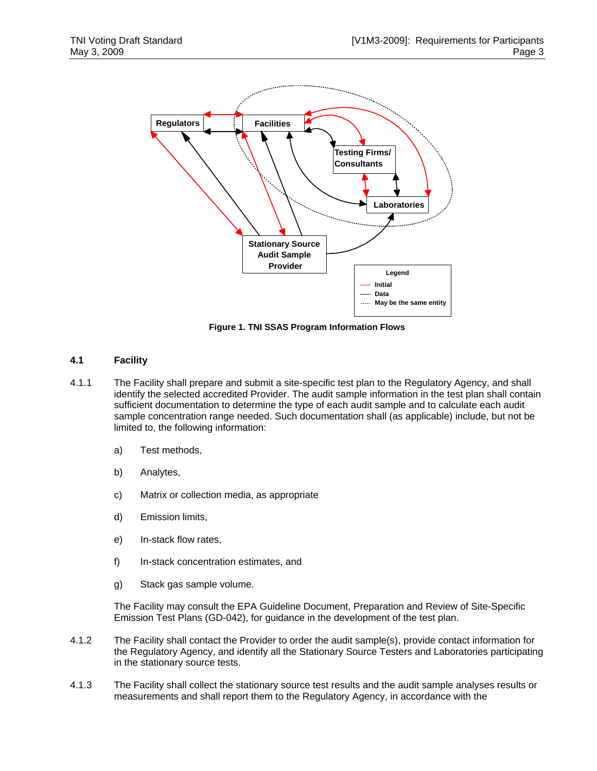

**Figure 1. TNI SSAS Program Information Flows** 

#### **4.1 Facility**

- 4.1.1 The Facility shall prepare and submit a site-specific test plan to the Regulatory Agency, and shall identify the selected accredited Provider. The audit sample information in the test plan shall contain sufficient documentation to determine the type of each audit sample and to calculate each audit sample concentration range needed. Such documentation shall (as applicable) include, but not be limited to, the following information:
	- a) Test methods,
	- b) Analytes,
	- c) Matrix or collection media, as appropriate
	- d) Emission limits,
	- e) In-stack flow rates,
	- f) In-stack concentration estimates, and
	- g) Stack gas sample volume.

The Facility may consult the EPA Guideline Document, Preparation and Review of Site-Specific Emission Test Plans (GD-042), for guidance in the development of the test plan.

- 4.1.2 The Facility shall contact the Provider to order the audit sample(s), provide contact information for the Regulatory Agency, and identify all the Stationary Source Testers and Laboratories participating in the stationary source tests.
- 4.1.3 The Facility shall collect the stationary source test results and the audit sample analyses results or measurements and shall report them to the Regulatory Agency, in accordance with the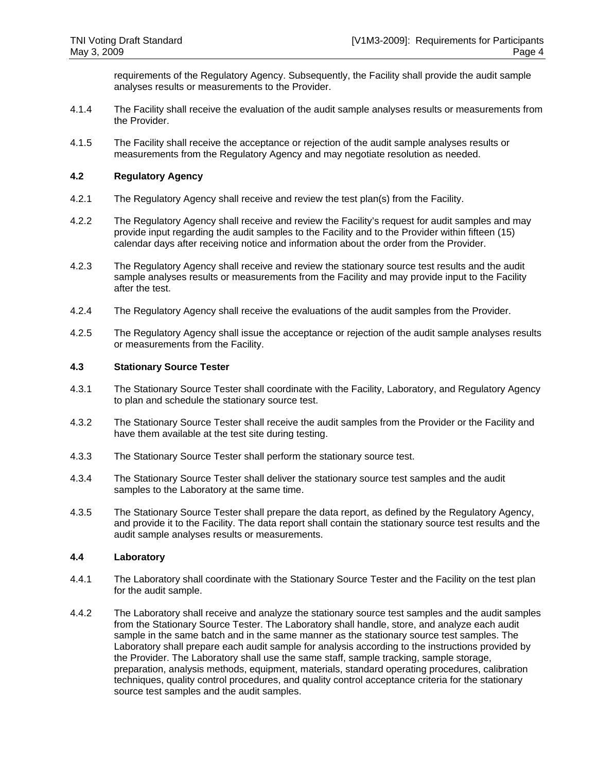requirements of the Regulatory Agency. Subsequently, the Facility shall provide the audit sample analyses results or measurements to the Provider.

- 4.1.4 The Facility shall receive the evaluation of the audit sample analyses results or measurements from the Provider.
- 4.1.5 The Facility shall receive the acceptance or rejection of the audit sample analyses results or measurements from the Regulatory Agency and may negotiate resolution as needed.

#### **4.2 Regulatory Agency**

- 4.2.1 The Regulatory Agency shall receive and review the test plan(s) from the Facility.
- 4.2.2 The Regulatory Agency shall receive and review the Facility's request for audit samples and may provide input regarding the audit samples to the Facility and to the Provider within fifteen (15) calendar days after receiving notice and information about the order from the Provider.
- 4.2.3 The Regulatory Agency shall receive and review the stationary source test results and the audit sample analyses results or measurements from the Facility and may provide input to the Facility after the test.
- 4.2.4 The Regulatory Agency shall receive the evaluations of the audit samples from the Provider.
- 4.2.5 The Regulatory Agency shall issue the acceptance or rejection of the audit sample analyses results or measurements from the Facility.

#### **4.3 Stationary Source Tester**

- 4.3.1 The Stationary Source Tester shall coordinate with the Facility, Laboratory, and Regulatory Agency to plan and schedule the stationary source test.
- 4.3.2 The Stationary Source Tester shall receive the audit samples from the Provider or the Facility and have them available at the test site during testing.
- 4.3.3 The Stationary Source Tester shall perform the stationary source test.
- 4.3.4 The Stationary Source Tester shall deliver the stationary source test samples and the audit samples to the Laboratory at the same time.
- 4.3.5 The Stationary Source Tester shall prepare the data report, as defined by the Regulatory Agency, and provide it to the Facility. The data report shall contain the stationary source test results and the audit sample analyses results or measurements.

#### **4.4 Laboratory**

- 4.4.1 The Laboratory shall coordinate with the Stationary Source Tester and the Facility on the test plan for the audit sample.
- 4.4.2 The Laboratory shall receive and analyze the stationary source test samples and the audit samples from the Stationary Source Tester. The Laboratory shall handle, store, and analyze each audit sample in the same batch and in the same manner as the stationary source test samples. The Laboratory shall prepare each audit sample for analysis according to the instructions provided by the Provider. The Laboratory shall use the same staff, sample tracking, sample storage, preparation, analysis methods, equipment, materials, standard operating procedures, calibration techniques, quality control procedures, and quality control acceptance criteria for the stationary source test samples and the audit samples.